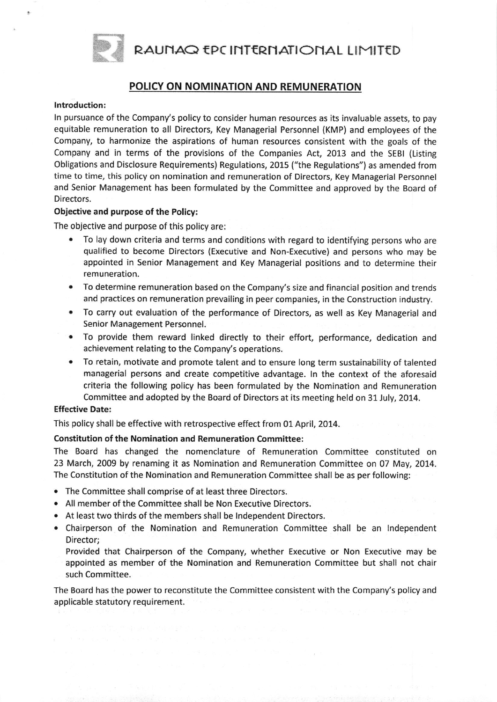RAUNAQ EPC INTERNATIONAL LIMITED



## POLICY ON NOMINATION AND REMUNERATION

#### lntroduction:

ln pursuance of the Company's policy to consider human resources as its invaluable assets, to pay equitable remuneration to all Directors, Key Managerial Personnel (KMP) and employees of the Company, to harmonize the aspirations of human resources consistent with the goals of the Company and in terms of the provisions of the Companies Act, 2013 and the SEBI (Listing Obligations and Disclosure Requirements) Regulations, 2015 ("the Regulations") as amended from time to time, this policy on nomination and remuneration of Directors, Key Managerial Personnel and Senior Management has been formulated by the Committee and approved by the Board of Directors.

#### Objective and purpose of the Policy:

The objective and purpose of this policy are:

- To lay down criteria and terms and conditions with regard to identifying persons who are qualified to become Directors (Executive and Non-Executive) and persons who may be appointed in Senior Management and Key Managerial positions and to determine their remuneration.
- . To determine remuneration based on the Company's size and financial position and trends and practices on remuneration prevailing in peer companies, in the Construction industry.
- . To carry out evaluation of the performance of Directors, as well as Key Managerial and Senior Management Personnel.
- . To provide them reward llnked directly to their effort, performance, dedication and achievement relating to the Company's operations.
- . To retain, motivate and promote talent and to ensure long term sustainability of talented managerial persons and create competitive advantage. ln the context of the aforesaid criteria the following policy has been formulated by the Nomination and Remuneration Committee and adopted by the Board of Directors at its meeting held on 31July, 2014.

#### Effective Date:

This policy shall be effective with retrospective effect from 01 April, 2014.

#### Constitution of the Nomination and Remuneration Committee:

The Board has changed the nomenclature of Remuneration Committee constituted on 23 March,2009 by renaming it as Nomination and Remuneration Committee on 07 May,2014. The Constitution of the Nomination and Remuneration Committee shall be as per following:

- . The Committee shall comprise of at least three Directors.
- . All member of the Committee shall be Non Executive Directors.
- . At least two thirds of the members shall be lndependent Directors.
- o Chairperson of the Nomination and Remuneration Committee shall be an lndependent Director;

Provided that Chairperson of the Company, whether Executive or Non Executive may be appointed as member of the Nomination and Remuneration Committee but shall not chair such Committee.

The Board has the power to reconstitute the committee consistent with the company's policy and applicable statutory requirement.